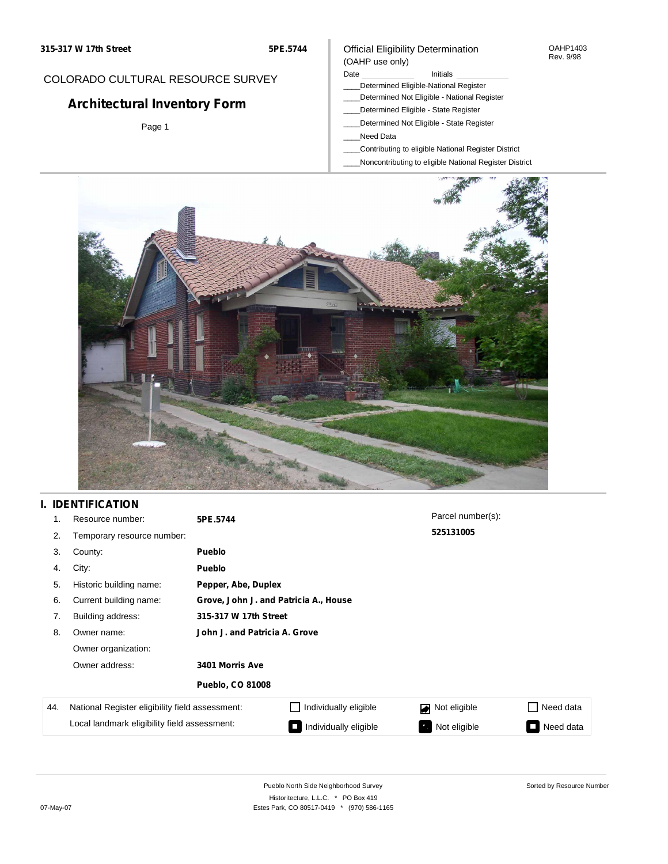**5PE.5744**

### Official Eligibility Determination (OAHP use only)

OAHP1403 Rev. 9/98

# COLORADO CULTURAL RESOURCE SURVEY

# **Architectural Inventory Form**

Page 1

#### Date **Initials** Initials

- \_\_\_\_Determined Eligible-National Register
- \_\_\_\_Determined Not Eligible National Register
- \_\_\_\_Determined Eligible State Register
- \_\_\_\_Determined Not Eligible State Register
- \_\_\_\_Need Data
- \_\_\_\_Contributing to eligible National Register District
- \_\_\_\_Noncontributing to eligible National Register District



# **I. IDENTIFICATION**

| 1.  | Resource number:                                | 5PE.5744                      |                                       | Parcel number(s): |                     |  |  |  |
|-----|-------------------------------------------------|-------------------------------|---------------------------------------|-------------------|---------------------|--|--|--|
| 2.  | Temporary resource number:                      |                               |                                       | 525131005         |                     |  |  |  |
| 3.  | County:                                         | <b>Pueblo</b>                 |                                       |                   |                     |  |  |  |
| 4.  | City:                                           | <b>Pueblo</b>                 |                                       |                   |                     |  |  |  |
| 5.  | Historic building name:                         |                               | Pepper, Abe, Duplex                   |                   |                     |  |  |  |
| 6.  | Current building name:                          |                               | Grove, John J. and Patricia A., House |                   |                     |  |  |  |
| 7.  | Building address:                               | 315-317 W 17th Street         |                                       |                   |                     |  |  |  |
| 8.  | Owner name:                                     | John J. and Patricia A. Grove |                                       |                   |                     |  |  |  |
|     | Owner organization:                             |                               |                                       |                   |                     |  |  |  |
|     | Owner address:                                  | 3401 Morris Ave               |                                       |                   |                     |  |  |  |
|     |                                                 | <b>Pueblo, CO 81008</b>       |                                       |                   |                     |  |  |  |
| 44. | National Register eligibility field assessment: |                               | Individually eligible                 | Not eligible      | Need data           |  |  |  |
|     | Local landmark eligibility field assessment:    |                               | Individually eligible                 | Not eligible      | Need data<br>$\Box$ |  |  |  |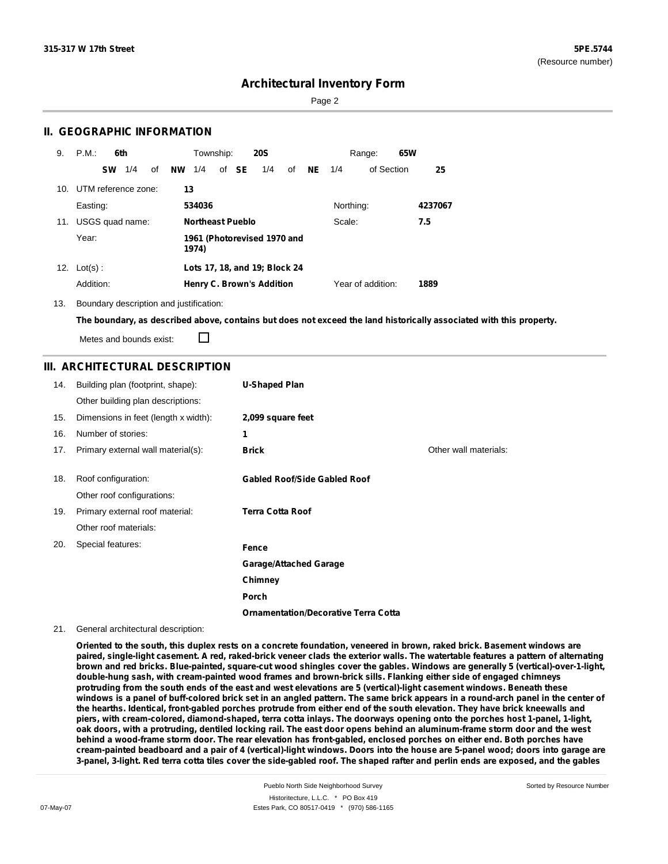Page 2

### **II. GEOGRAPHIC INFORMATION**

| 9.  | P.M.                |           | 6th             |    |    | Township:               |       | <b>20S</b>                       |    |          |           | Range:            | 65W |         |
|-----|---------------------|-----------|-----------------|----|----|-------------------------|-------|----------------------------------|----|----------|-----------|-------------------|-----|---------|
|     |                     | <b>SW</b> | 1/4             | of | NW | 1/4                     | of SE | 1/4                              | of | $NE$ 1/4 |           | of Section        |     | 25      |
| 10. | UTM reference zone: |           |                 |    | 13 |                         |       |                                  |    |          |           |                   |     |         |
|     | Easting:            |           |                 |    |    | 534036                  |       |                                  |    |          | Northing: |                   |     | 4237067 |
| 11. |                     |           | USGS quad name: |    |    | <b>Northeast Pueblo</b> |       |                                  |    |          | Scale:    |                   |     | 7.5     |
|     | Year:               |           |                 |    |    | 1974)                   |       | 1961 (Photorevised 1970 and      |    |          |           |                   |     |         |
|     | 12. $Lot(s)$ :      |           |                 |    |    |                         |       | Lots 17, 18, and 19; Block 24    |    |          |           |                   |     |         |
|     | Addition:           |           |                 |    |    |                         |       | <b>Henry C. Brown's Addition</b> |    |          |           | Year of addition: |     | 1889    |

13. Boundary description and justification:

The boundary, as described above, contains but does not exceed the land historically associated with this property.

Metes and bounds exist:

П

## **III. ARCHITECTURAL DESCRIPTION**

| 14. | Building plan (footprint, shape):    | <b>U-Shaped Plan</b>                        |                       |
|-----|--------------------------------------|---------------------------------------------|-----------------------|
|     | Other building plan descriptions:    |                                             |                       |
| 15. | Dimensions in feet (length x width): | 2,099 square feet                           |                       |
| 16. | Number of stories:                   | 1                                           |                       |
| 17. | Primary external wall material(s):   | <b>Brick</b>                                | Other wall materials: |
|     |                                      |                                             |                       |
| 18. | Roof configuration:                  | <b>Gabled Roof/Side Gabled Roof</b>         |                       |
|     | Other roof configurations:           |                                             |                       |
| 19. | Primary external roof material:      | <b>Terra Cotta Roof</b>                     |                       |
|     | Other roof materials:                |                                             |                       |
| 20. | Special features:                    | Fence                                       |                       |
|     |                                      | <b>Garage/Attached Garage</b>               |                       |
|     |                                      | Chimney                                     |                       |
|     |                                      | Porch                                       |                       |
|     |                                      | <b>Ornamentation/Decorative Terra Cotta</b> |                       |

#### 21. General architectural description:

Oriented to the south, this duplex rests on a concrete foundation, veneered in brown, raked brick. Basement windows are paired, single-light casement. A red, raked-brick veneer clads the exterior walls. The watertable features a pattern of alternating brown and red bricks. Blue-painted, square-cut wood shingles cover the gables. Windows are generally 5 (vertical)-over-1-light, **double-hung sash, with cream-painted wood frames and brown-brick sills. Flanking either side of engaged chimneys** protruding from the south ends of the east and west elevations are 5 (vertical)-light casement windows. Beneath these windows is a panel of buff-colored brick set in an angled pattern. The same brick appears in a round-arch panel in the center of the hearths. Identical, front-gabled porches protrude from either end of the south elevation. They have brick kneewalls and piers, with cream-colored, diamond-shaped, terra cotta inlays. The doorways opening onto the porches host 1-panel, 1-light, oak doors, with a protruding, dentiled locking rail. The east door opens behind an aluminum-frame storm door and the west behind a wood-frame storm door. The rear elevation has front-gabled, enclosed porches on either end. Both porches have cream-painted beadboard and a pair of 4 (vertical)-light windows. Doors into the house are 5-panel wood; doors into garage are 3-panel, 3-light. Red terra cotta tiles cover the side-gabled roof. The shaped rafter and perlin ends are exposed, and the gables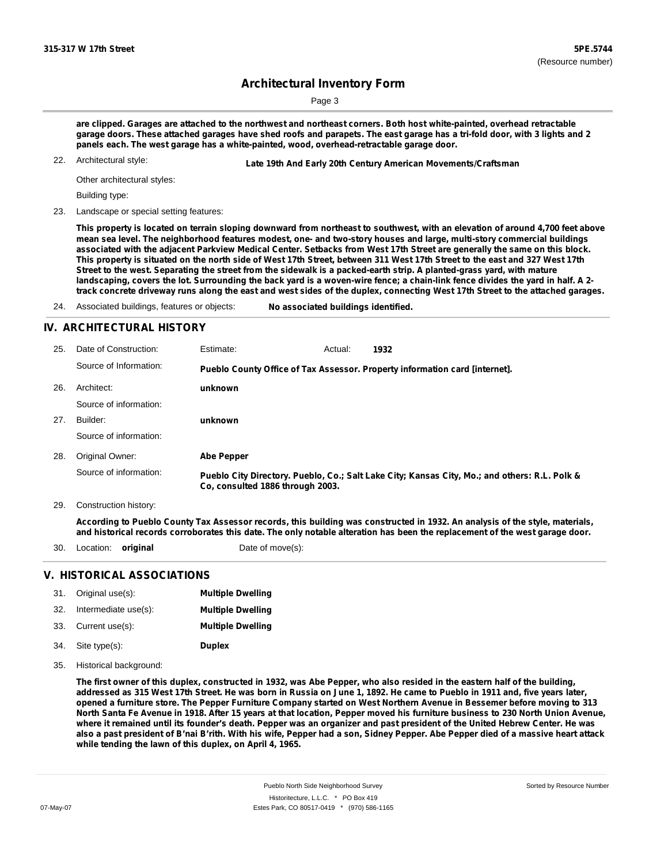Page 3

are clipped. Garages are attached to the northwest and northeast corners. Both host white-painted, overhead retractable garage doors. These attached garages have shed roofs and parapets. The east garage has a tri-fold door, with 3 lights and 2 **panels each. The west garage has a white-painted, wood, overhead-retractable garage door.**

22. Architectural style:

22. **Late 19th And Early 20th Century American Movements/Craftsman**

Other architectural styles:

Building type:

23. Landscape or special setting features:

This property is located on terrain sloping downward from northeast to southwest, with an elevation of around 4,700 feet above mean sea level. The neighborhood features modest, one- and two-story houses and large, multi-story commercial buildings associated with the adjacent Parkview Medical Center. Setbacks from West 17th Street are generally the same on this block. This property is situated on the north side of West 17th Street, between 311 West 17th Street to the east and 327 West 17th Street to the west. Separating the street from the sidewalk is a packed-earth strip. A planted-grass yard, with mature landscaping, covers the lot. Surrounding the back yard is a woven-wire fence; a chain-link fence divides the yard in half. A 2track concrete driveway runs along the east and west sides of the duplex, connecting West 17th Street to the attached garages.

24. Associated buildings, features or objects: **No associated buildings identified.**

### **IV. ARCHITECTURAL HISTORY**

| 25. | Date of Construction:  | Estimate:                        | Actual: | 1932                                                                                          |
|-----|------------------------|----------------------------------|---------|-----------------------------------------------------------------------------------------------|
|     | Source of Information: |                                  |         | Pueblo County Office of Tax Assessor. Property information card [internet].                   |
| 26. | Architect:             | unknown                          |         |                                                                                               |
|     | Source of information: |                                  |         |                                                                                               |
| 27. | Builder:               | unknown                          |         |                                                                                               |
|     | Source of information: |                                  |         |                                                                                               |
| 28. | Original Owner:        | Abe Pepper                       |         |                                                                                               |
|     | Source of information: | Co, consulted 1886 through 2003. |         | Pueblo City Directory. Pueblo, Co.; Salt Lake City; Kansas City, Mo.; and others: R.L. Polk & |

29. Construction history:

According to Pueblo County Tax Assessor records, this building was constructed in 1932. An analysis of the style, materials, and historical records corroborates this date. The only notable alteration has been the replacement of the west garage door.

- 30. Location: **original** Date of move(s):
	-

### **V. HISTORICAL ASSOCIATIONS**

| 31. | Original use(s):     | <b>Multiple Dwelling</b> |
|-----|----------------------|--------------------------|
| 32. | Intermediate use(s): | <b>Multiple Dwelling</b> |
| 33. | Current use(s):      | <b>Multiple Dwelling</b> |
| 34. | Site type(s):        | <b>Duplex</b>            |

35. Historical background:

The first owner of this duplex, constructed in 1932, was Abe Pepper, who also resided in the eastern half of the building, addressed as 315 West 17th Street. He was born in Russia on June 1, 1892. He came to Pueblo in 1911 and, five years later, opened a furniture store. The Pepper Furniture Company started on West Northern Avenue in Bessemer before moving to 313 North Santa Fe Avenue in 1918. After 15 years at that location, Pepper moved his furniture business to 230 North Union Avenue, where it remained until its founder's death. Pepper was an organizer and past president of the United Hebrew Center. He was also a past president of B'nai B'rith. With his wife, Pepper had a son, Sidney Pepper. Abe Pepper died of a massive heart attack **while tending the lawn of this duplex, on April 4, 1965.**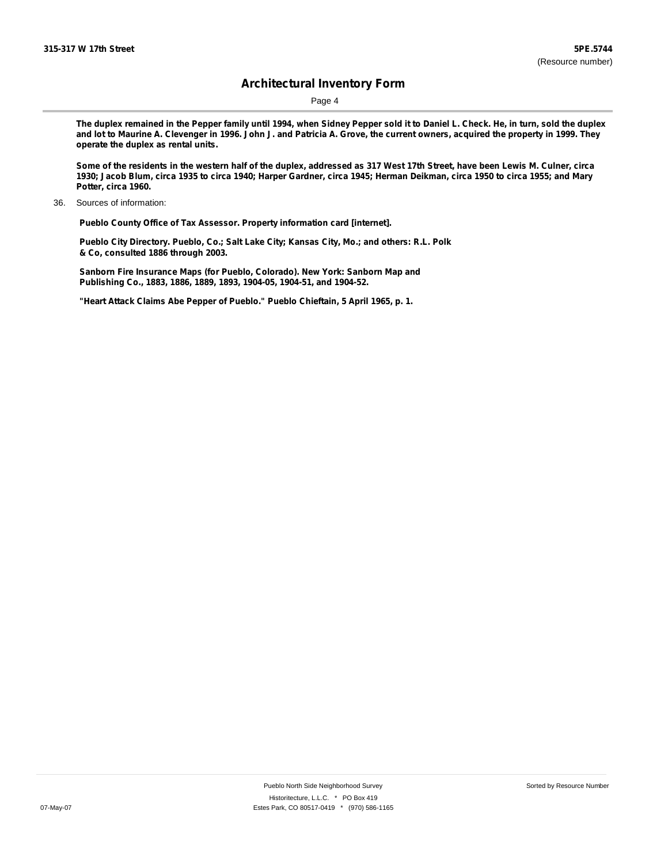Page 4

The duplex remained in the Pepper family until 1994, when Sidney Pepper sold it to Daniel L. Check. He, in turn, sold the duplex and lot to Maurine A. Clevenger in 1996. John J. and Patricia A. Grove, the current owners, acquired the property in 1999. They **operate the duplex as rental units.**

Some of the residents in the western half of the duplex, addressed as 317 West 17th Street, have been Lewis M. Culner, circa 1930; Jacob Blum, circa 1935 to circa 1940; Harper Gardner, circa 1945; Herman Deikman, circa 1950 to circa 1955; and Mary **Potter, circa 1960.**

**Pueblo County Office of Tax Assessor. Property information card [internet].**

**Pueblo City Directory. Pueblo, Co.; Salt Lake City; Kansas City, Mo.; and others: R.L. Polk & Co, consulted 1886 through 2003.**

**Sanborn Fire Insurance Maps (for Pueblo, Colorado). New York: Sanborn Map and Publishing Co., 1883, 1886, 1889, 1893, 1904-05, 1904-51, and 1904-52.**

**"Heart Attack Claims Abe Pepper of Pueblo." Pueblo Chieftain, 5 April 1965, p. 1.**

<sup>36.</sup> Sources of information: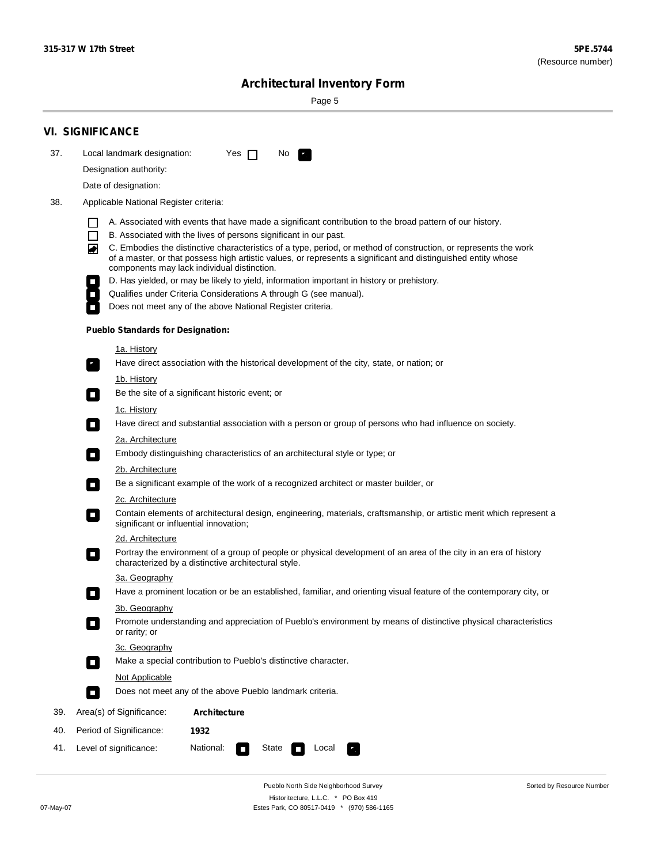Sorted by Resource Number

# **Architectural Inventory Form**

Page 5

|     | <b>VI. SIGNIFICANCE</b>                                                                                                                                                                                                                                                               |  |  |  |  |  |  |
|-----|---------------------------------------------------------------------------------------------------------------------------------------------------------------------------------------------------------------------------------------------------------------------------------------|--|--|--|--|--|--|
| 37. | Local landmark designation:<br>Yes<br>No.<br>$\mathbf{I}$                                                                                                                                                                                                                             |  |  |  |  |  |  |
|     | Designation authority:                                                                                                                                                                                                                                                                |  |  |  |  |  |  |
|     | Date of designation:                                                                                                                                                                                                                                                                  |  |  |  |  |  |  |
| 38. | Applicable National Register criteria:                                                                                                                                                                                                                                                |  |  |  |  |  |  |
|     |                                                                                                                                                                                                                                                                                       |  |  |  |  |  |  |
|     | A. Associated with events that have made a significant contribution to the broad pattern of our history.<br>B. Associated with the lives of persons significant in our past.<br>П                                                                                                     |  |  |  |  |  |  |
|     | C. Embodies the distinctive characteristics of a type, period, or method of construction, or represents the work<br>◙<br>of a master, or that possess high artistic values, or represents a significant and distinguished entity whose<br>components may lack individual distinction. |  |  |  |  |  |  |
|     | D. Has yielded, or may be likely to yield, information important in history or prehistory.                                                                                                                                                                                            |  |  |  |  |  |  |
|     | Qualifies under Criteria Considerations A through G (see manual).                                                                                                                                                                                                                     |  |  |  |  |  |  |
|     | Does not meet any of the above National Register criteria.                                                                                                                                                                                                                            |  |  |  |  |  |  |
|     | <b>Pueblo Standards for Designation:</b>                                                                                                                                                                                                                                              |  |  |  |  |  |  |
|     | <u>1a. History</u><br>Have direct association with the historical development of the city, state, or nation; or                                                                                                                                                                       |  |  |  |  |  |  |
|     | <u>1b. History</u><br>Be the site of a significant historic event; or<br>$\mathcal{L}_{\mathcal{A}}$                                                                                                                                                                                  |  |  |  |  |  |  |
|     | 1c. History<br>Have direct and substantial association with a person or group of persons who had influence on society.<br>$\mathcal{L}_{\mathcal{A}}$                                                                                                                                 |  |  |  |  |  |  |
|     | 2a. Architecture<br>Embody distinguishing characteristics of an architectural style or type; or<br>$\overline{\phantom{a}}$                                                                                                                                                           |  |  |  |  |  |  |
|     | 2b. Architecture                                                                                                                                                                                                                                                                      |  |  |  |  |  |  |
|     | Be a significant example of the work of a recognized architect or master builder, or<br>$\sim$                                                                                                                                                                                        |  |  |  |  |  |  |
|     | 2c. Architecture                                                                                                                                                                                                                                                                      |  |  |  |  |  |  |
|     | Contain elements of architectural design, engineering, materials, craftsmanship, or artistic merit which represent a<br>$\blacksquare$<br>significant or influential innovation;                                                                                                      |  |  |  |  |  |  |
|     | 2d. Architecture                                                                                                                                                                                                                                                                      |  |  |  |  |  |  |
|     | Portray the environment of a group of people or physical development of an area of the city in an era of history<br>$\overline{\phantom{a}}$<br>characterized by a distinctive architectural style.                                                                                   |  |  |  |  |  |  |
|     | <u>3a. Geography</u>                                                                                                                                                                                                                                                                  |  |  |  |  |  |  |
|     | Have a prominent location or be an established, familiar, and orienting visual feature of the contemporary city, or                                                                                                                                                                   |  |  |  |  |  |  |
|     | 3b. Geography<br>Promote understanding and appreciation of Pueblo's environment by means of distinctive physical characteristics<br>or rarity; or                                                                                                                                     |  |  |  |  |  |  |
|     | 3c. Geography<br>Make a special contribution to Pueblo's distinctive character.<br>$\Box$                                                                                                                                                                                             |  |  |  |  |  |  |
|     | Not Applicable                                                                                                                                                                                                                                                                        |  |  |  |  |  |  |
|     | Does not meet any of the above Pueblo landmark criteria.<br>$\overline{\phantom{a}}$                                                                                                                                                                                                  |  |  |  |  |  |  |
| 39. | Area(s) of Significance:<br><b>Architecture</b>                                                                                                                                                                                                                                       |  |  |  |  |  |  |
| 40. | Period of Significance:<br>1932                                                                                                                                                                                                                                                       |  |  |  |  |  |  |
| 41. | National:<br>Level of significance:<br>State<br>Local<br>$\Box$<br>70                                                                                                                                                                                                                 |  |  |  |  |  |  |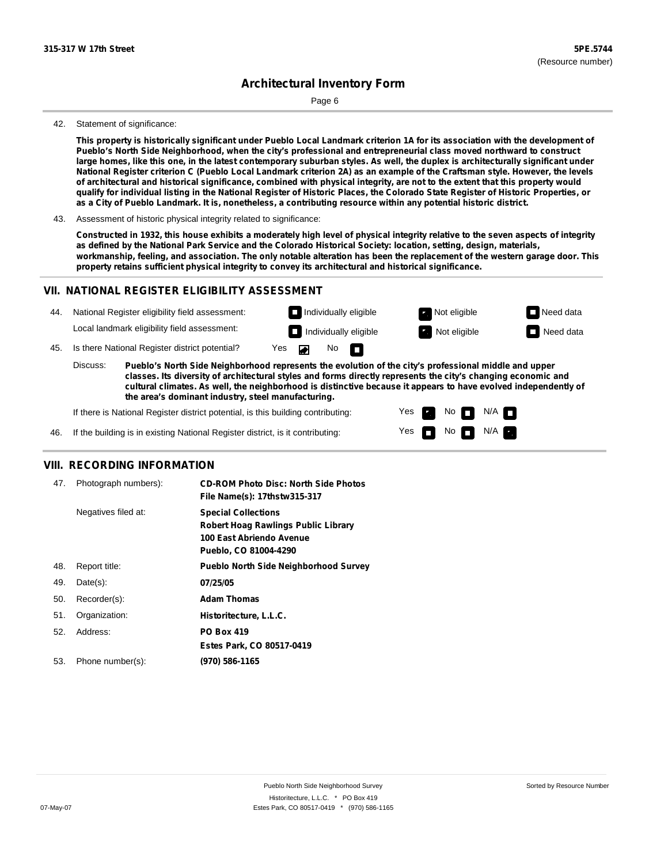Page 6

#### 42. Statement of significance:

This property is historically significant under Pueblo Local Landmark criterion 1A for its association with the development of **Pueblo's North Side Neighborhood, when the city's professional and entrepreneurial class moved northward to construct** large homes, like this one, in the latest contemporary suburban styles. As well, the duplex is architecturally significant under National Register criterion C (Pueblo Local Landmark criterion 2A) as an example of the Craftsman style. However, the levels of architectural and historical significance, combined with physical integrity, are not to the extent that this property would qualify for individual listing in the National Register of Historic Places, the Colorado State Register of Historic Properties, or as a City of Pueblo Landmark. It is, nonetheless, a contributing resource within any potential historic district.

#### 43. Assessment of historic physical integrity related to significance:

Constructed in 1932, this house exhibits a moderately high level of physical integrity relative to the seven aspects of integrity as defined by the National Park Service and the Colorado Historical Society: location, setting, design, materials, workmanship, feeling, and association. The only notable alteration has been the replacement of the western garage door. This **property retains sufficient physical integrity to convey its architectural and historical significance.**

#### **VII. NATIONAL REGISTER ELIGIBILITY ASSESSMENT**



**classes. Its diversity of architectural styles and forms directly represents the city's changing economic and cultural climates. As well, the neighborhood is distinctive because it appears to have evolved independently of the area's dominant industry, steel manufacturing.**

> Yes Yes

**The Second Second** 

Non<sub>d</sub> N/A No  $\blacksquare$  N/A  $\blacksquare$ 

If there is National Register district potential, is this building contributing:

If the building is in existing National Register district, is it contributing: 46.

#### **VIII. RECORDING INFORMATION**

| 47. | Photograph numbers): | <b>CD-ROM Photo Disc: North Side Photos</b>  |
|-----|----------------------|----------------------------------------------|
|     |                      | File Name(s): 17thstw315-317                 |
|     | Negatives filed at:  | <b>Special Collections</b>                   |
|     |                      | <b>Robert Hoag Rawlings Public Library</b>   |
|     |                      | 100 East Abriendo Avenue                     |
|     |                      | Pueblo, CO 81004-4290                        |
| 48. | Report title:        | <b>Pueblo North Side Neighborhood Survey</b> |
| 49. | $Date(s)$ :          | 07/25/05                                     |
| 50. | Recorder(s):         | <b>Adam Thomas</b>                           |
| 51. | Organization:        | Historitecture, L.L.C.                       |
| 52. | Address:             | <b>PO Box 419</b>                            |
|     |                      | Estes Park, CO 80517-0419                    |
| 53. | Phone number(s):     | (970) 586-1165                               |
|     |                      |                                              |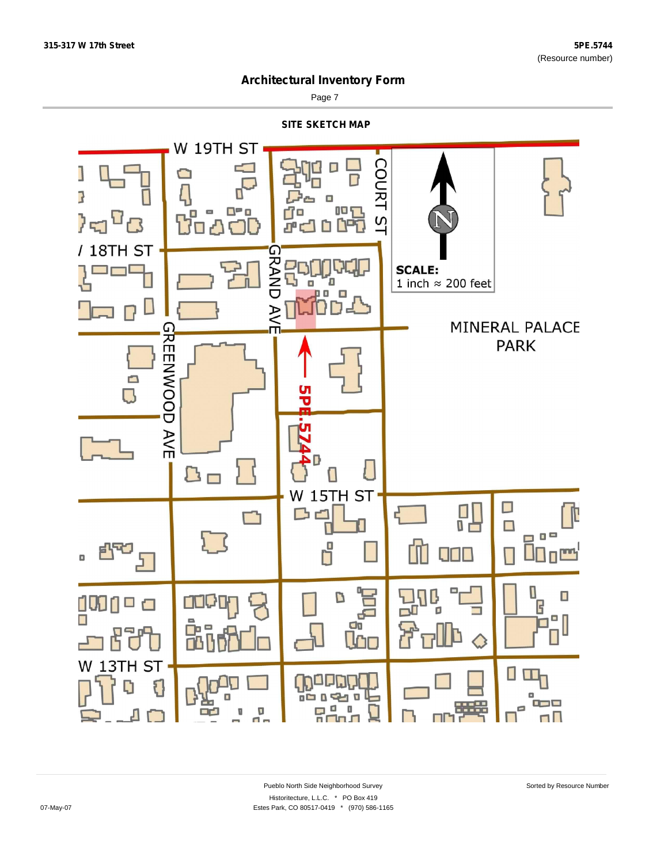

Page 7